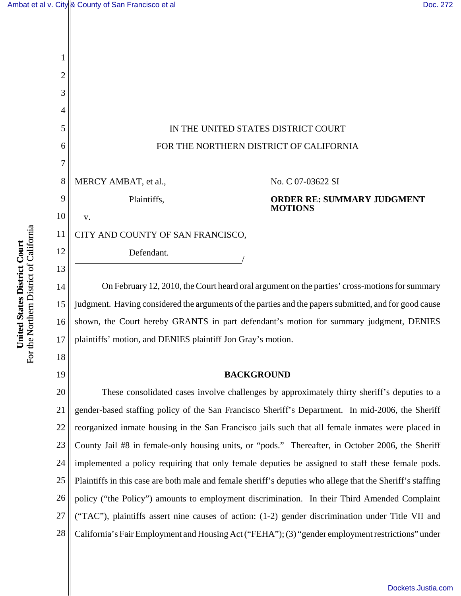

14 15 16 17 On February 12, 2010, the Court heard oral argument on the parties' cross-motions for summary judgment. Having considered the arguments of the parties and the papers submitted, and for good cause shown, the Court hereby GRANTS in part defendant's motion for summary judgment, DENIES plaintiffs' motion, and DENIES plaintiff Jon Gray's motion.

### **BACKGROUND**

20 21 22 23 24 25 26 27 28 These consolidated cases involve challenges by approximately thirty sheriff's deputies to a gender-based staffing policy of the San Francisco Sheriff's Department. In mid-2006, the Sheriff reorganized inmate housing in the San Francisco jails such that all female inmates were placed in County Jail #8 in female-only housing units, or "pods." Thereafter, in October 2006, the Sheriff implemented a policy requiring that only female deputies be assigned to staff these female pods. Plaintiffs in this case are both male and female sheriff's deputies who allege that the Sheriff's staffing policy ("the Policy") amounts to employment discrimination. In their Third Amended Complaint ("TAC"), plaintiffs assert nine causes of action: (1-2) gender discrimination under Title VII and California's Fair Employment and Housing Act ("FEHA"); (3) "gender employment restrictions" under

18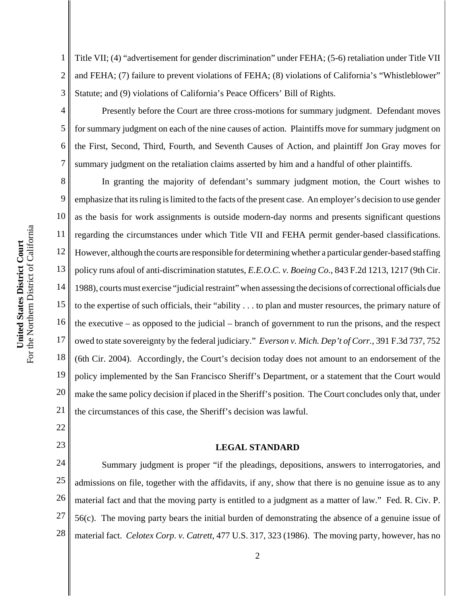5

6

7

22

23

1 2 3 Title VII; (4) "advertisement for gender discrimination" under FEHA; (5-6) retaliation under Title VII and FEHA; (7) failure to prevent violations of FEHA; (8) violations of California's "Whistleblower" Statute; and (9) violations of California's Peace Officers' Bill of Rights.

Presently before the Court are three cross-motions for summary judgment. Defendant moves for summary judgment on each of the nine causes of action. Plaintiffs move for summary judgment on the First, Second, Third, Fourth, and Seventh Causes of Action, and plaintiff Jon Gray moves for summary judgment on the retaliation claims asserted by him and a handful of other plaintiffs.

8 9 10 11 12 13 14 15 16 17 18 19 20 21 In granting the majority of defendant's summary judgment motion, the Court wishes to emphasize that its ruling is limited to the facts of the present case. An employer's decision to use gender as the basis for work assignments is outside modern-day norms and presents significant questions regarding the circumstances under which Title VII and FEHA permit gender-based classifications. However, although the courts are responsible for determining whether a particular gender-based staffing policy runs afoul of anti-discrimination statutes, *E.E.O.C. v. Boeing Co.*, 843 F.2d 1213, 1217 (9th Cir. 1988), courts must exercise "judicial restraint" when assessing the decisions of correctional officials due to the expertise of such officials, their "ability . . . to plan and muster resources, the primary nature of the executive – as opposed to the judicial – branch of government to run the prisons, and the respect owed to state sovereignty by the federal judiciary." *Everson v. Mich. Dep't of Corr.*, 391 F.3d 737, 752 (6th Cir. 2004). Accordingly, the Court's decision today does not amount to an endorsement of the policy implemented by the San Francisco Sheriff's Department, or a statement that the Court would make the same policy decision if placed in the Sheriff's position. The Court concludes only that, under the circumstances of this case, the Sheriff's decision was lawful.

# **LEGAL STANDARD**

24 25 26 27 28 Summary judgment is proper "if the pleadings, depositions, answers to interrogatories, and admissions on file, together with the affidavits, if any, show that there is no genuine issue as to any material fact and that the moving party is entitled to a judgment as a matter of law." Fed. R. Civ. P. 56(c). The moving party bears the initial burden of demonstrating the absence of a genuine issue of material fact. *Celotex Corp. v. Catrett*, 477 U.S. 317, 323 (1986). The moving party, however, has no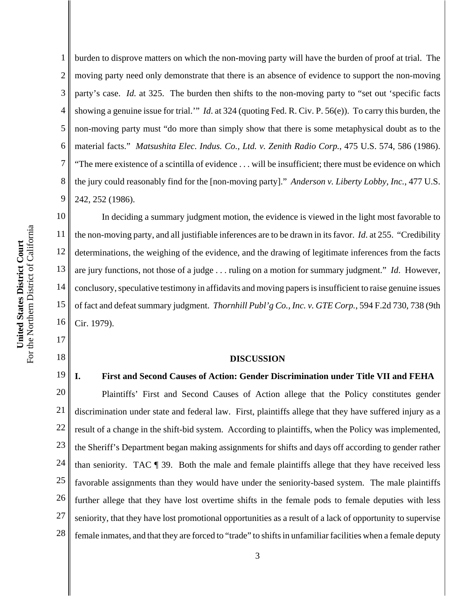2 3 4 5 6 7 8 9 10 11 moving party need only demonstrate that there is an absence of evidence to support the non-moving party's case. *Id.* at 325. The burden then shifts to the non-moving party to "set out 'specific facts showing a genuine issue for trial.'" *Id*. at 324 (quoting Fed. R. Civ. P. 56(e)). To carry this burden, the non-moving party must "do more than simply show that there is some metaphysical doubt as to the material facts." *Matsushita Elec. Indus. Co., Ltd. v. Zenith Radio Corp.*, 475 U.S. 574, 586 (1986). "The mere existence of a scintilla of evidence . . . will be insufficient; there must be evidence on which the jury could reasonably find for the [non-moving party]." *Anderson v. Liberty Lobby, Inc.*, 477 U.S. 242, 252 (1986). In deciding a summary judgment motion, the evidence is viewed in the light most favorable to

12 13 14 15 16 the non-moving party, and all justifiable inferences are to be drawn in its favor. *Id*. at 255. "Credibility determinations, the weighing of the evidence, and the drawing of legitimate inferences from the facts are jury functions, not those of a judge . . . ruling on a motion for summary judgment." *Id*. However, conclusory, speculative testimony in affidavits and moving papers is insufficient to raise genuine issues of fact and defeat summary judgment. *Thornhill Publ'g Co., Inc. v. GTE Corp.*, 594 F.2d 730, 738 (9th Cir. 1979).

burden to disprove matters on which the non-moving party will have the burden of proof at trial. The

#### **DISCUSSION**

### **I. First and Second Causes of Action: Gender Discrimination under Title VII and FEHA**

20 21 22 23 24 25 26 27 28 Plaintiffs' First and Second Causes of Action allege that the Policy constitutes gender discrimination under state and federal law. First, plaintiffs allege that they have suffered injury as a result of a change in the shift-bid system. According to plaintiffs, when the Policy was implemented, the Sheriff's Department began making assignments for shifts and days off according to gender rather than seniority. TAC ¶ 39. Both the male and female plaintiffs allege that they have received less favorable assignments than they would have under the seniority-based system. The male plaintiffs further allege that they have lost overtime shifts in the female pods to female deputies with less seniority, that they have lost promotional opportunities as a result of a lack of opportunity to supervise female inmates, and that they are forced to "trade" to shifts in unfamiliar facilities when a female deputy

17

18

19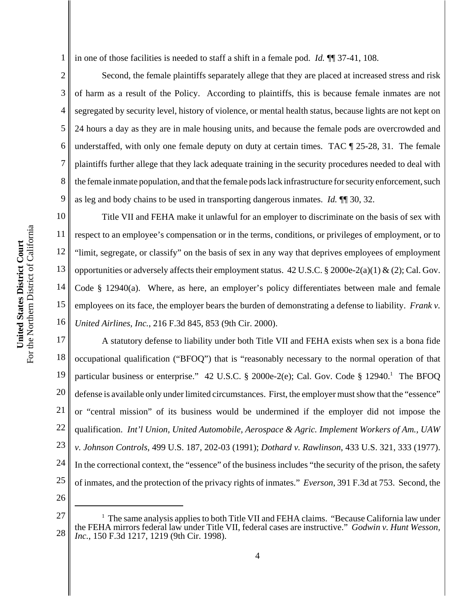1 in one of those facilities is needed to staff a shift in a female pod. *Id.* ¶¶ 37-41, 108.

2 3 4 6 8 9 Second, the female plaintiffs separately allege that they are placed at increased stress and risk of harm as a result of the Policy. According to plaintiffs, this is because female inmates are not segregated by security level, history of violence, or mental health status, because lights are not kept on 24 hours a day as they are in male housing units, and because the female pods are overcrowded and understaffed, with only one female deputy on duty at certain times. TAC  $\P$  25-28, 31. The female plaintiffs further allege that they lack adequate training in the security procedures needed to deal with the female inmate population, and that the female pods lack infrastructure for security enforcement, such as leg and body chains to be used in transporting dangerous inmates. *Id.* ¶¶ 30, 32.

10 11 12 13 14 15 16 Title VII and FEHA make it unlawful for an employer to discriminate on the basis of sex with respect to an employee's compensation or in the terms, conditions, or privileges of employment, or to "limit, segregate, or classify" on the basis of sex in any way that deprives employees of employment opportunities or adversely affects their employment status.  $42 \text{ U.S.C.} \& 2000e-2(a)(1) \& (2);$  Cal. Gov. Code § 12940(a). Where, as here, an employer's policy differentiates between male and female employees on its face, the employer bears the burden of demonstrating a defense to liability. *Frank v. United Airlines, Inc.*, 216 F.3d 845, 853 (9th Cir. 2000).

17 18 19 20 21 22 23 24 25 A statutory defense to liability under both Title VII and FEHA exists when sex is a bona fide occupational qualification ("BFOQ") that is "reasonably necessary to the normal operation of that particular business or enterprise." 42 U.S.C. § 2000e-2(e); Cal. Gov. Code § 12940.<sup>1</sup> The BFOQ defense is available only under limited circumstances. First, the employer must show that the "essence" or "central mission" of its business would be undermined if the employer did not impose the qualification. *Int'l Union, United Automobile, Aerospace & Agric. Implement Workers of Am., UAW v. Johnson Controls*, 499 U.S. 187, 202-03 (1991); *Dothard v. Rawlinson*, 433 U.S. 321, 333 (1977). In the correctional context, the "essence" of the business includes "the security of the prison, the safety of inmates, and the protection of the privacy rights of inmates." *Everson*, 391 F.3d at 753. Second, the

26

5

<sup>27</sup> 28 <sup>1</sup> The same analysis applies to both Title VII and FEHA claims. "Because California law under the FEHA mirrors federal law under Title VII, federal cases are instructive." *Godwin v. Hunt Wesson, Inc.*, 150 F.3d 1217, 1219 (9th Cir. 1998).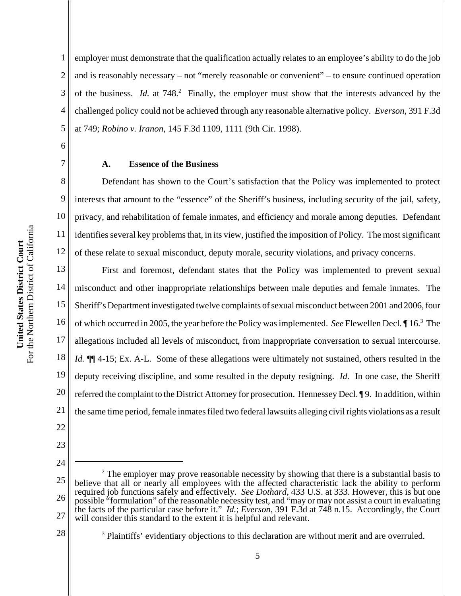1 2 3 4 5 employer must demonstrate that the qualification actually relates to an employee's ability to do the job and is reasonably necessary – not "merely reasonable or convenient" – to ensure continued operation of the business. *Id.* at 748.<sup>2</sup> Finally, the employer must show that the interests advanced by the challenged policy could not be achieved through any reasonable alternative policy. *Everson*, 391 F.3d at 749; *Robino v. Iranon*, 145 F.3d 1109, 1111 (9th Cir. 1998).

#### **A. Essence of the Business**

8 10 12 Defendant has shown to the Court's satisfaction that the Policy was implemented to protect interests that amount to the "essence" of the Sheriff's business, including security of the jail, safety, privacy, and rehabilitation of female inmates, and efficiency and morale among deputies. Defendant identifies several key problems that, in its view, justified the imposition of Policy. The most significant of these relate to sexual misconduct, deputy morale, security violations, and privacy concerns.

13 14 15 16 17 18 19 20 21 First and foremost, defendant states that the Policy was implemented to prevent sexual misconduct and other inappropriate relationships between male deputies and female inmates. The Sheriff's Department investigated twelve complaints of sexual misconduct between 2001 and 2006, four of which occurred in 2005, the year before the Policy was implemented. *See* Flewellen Decl. ¶ 16.3 The allegations included all levels of misconduct, from inappropriate conversation to sexual intercourse. *Id.*  $\P$ [4-15; Ex. A-L. Some of these allegations were ultimately not sustained, others resulted in the deputy receiving discipline, and some resulted in the deputy resigning. *Id.* In one case, the Sheriff referred the complaint to the District Attorney for prosecution. Hennessey Decl. ¶ 9. In addition, within the same time period, female inmates filed two federal lawsuits alleging civil rights violations as a result

22 23

6

7

9

11

24

<sup>25</sup> 26 27  $2<sup>2</sup>$  The employer may prove reasonable necessity by showing that there is a substantial basis to believe that all or nearly all employees with the affected characteristic lack the ability to perform required job functions safely and effectively. *See Dothard*, 433 U.S. at 333. However, this is but one possible "formulation" of the reasonable necessity test, and "may or may not assist a court in evaluating the facts of the particular case before it." *Id.*; *Everson*, 391 F.3d at 748 n.15. Accordingly, the Court will consider this standard to the extent it is helpful and relevant.

<sup>&</sup>lt;sup>3</sup> Plaintiffs' evidentiary objections to this declaration are without merit and are overruled.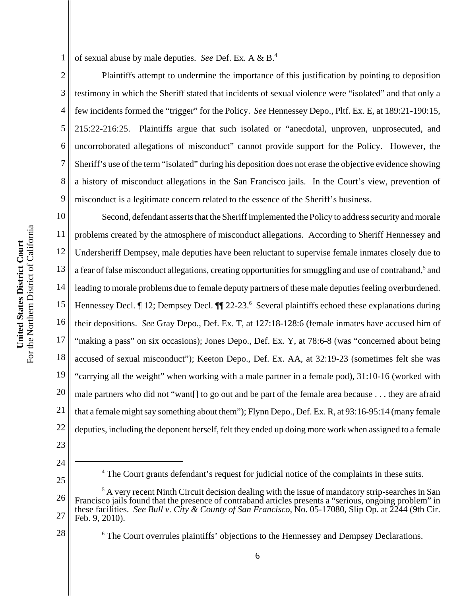1 of sexual abuse by male deputies. *See* Def. Ex. A & B.4

2 3 4 5 6 7 8 9 Plaintiffs attempt to undermine the importance of this justification by pointing to deposition testimony in which the Sheriff stated that incidents of sexual violence were "isolated" and that only a few incidents formed the "trigger" for the Policy. *See* Hennessey Depo., Pltf. Ex. E, at 189:21-190:15, 215:22-216:25. Plaintiffs argue that such isolated or "anecdotal, unproven, unprosecuted, and uncorroborated allegations of misconduct" cannot provide support for the Policy. However, the Sheriff's use of the term "isolated" during his deposition does not erase the objective evidence showing a history of misconduct allegations in the San Francisco jails. In the Court's view, prevention of misconduct is a legitimate concern related to the essence of the Sheriff's business.

10 11 12 13 14 15 16 17 18 19 20 21 22 Second, defendant asserts that the Sheriff implemented the Policy to address security and morale problems created by the atmosphere of misconduct allegations. According to Sheriff Hennessey and Undersheriff Dempsey, male deputies have been reluctant to supervise female inmates closely due to a fear of false misconduct allegations, creating opportunities for smuggling and use of contraband,<sup>5</sup> and leading to morale problems due to female deputy partners of these male deputies feeling overburdened. Hennessey Decl. 12; Dempsey Decl. 11 22-23.<sup>6</sup> Several plaintiffs echoed these explanations during their depositions. *See* Gray Depo., Def. Ex. T, at 127:18-128:6 (female inmates have accused him of "making a pass" on six occasions); Jones Depo., Def. Ex. Y, at 78:6-8 (was "concerned about being accused of sexual misconduct"); Keeton Depo., Def. Ex. AA, at 32:19-23 (sometimes felt she was "carrying all the weight" when working with a male partner in a female pod), 31:10-16 (worked with male partners who did not "want[] to go out and be part of the female area because . . . they are afraid that a female might say something about them"); Flynn Depo., Def. Ex. R, at 93:16-95:14 (many female deputies, including the deponent herself, felt they ended up doing more work when assigned to a female

23 24

- <sup>4</sup> The Court grants defendant's request for judicial notice of the complaints in these suits.
- 26 27 <sup>5</sup> A very recent Ninth Circuit decision dealing with the issue of mandatory strip-searches in San Francisco jails found that the presence of contraband articles presents a "serious, ongoing problem" in these facilities. *See Bull v. City & County of San Francisco*, No. 05-17080, Slip Op. at 2244 (9th Cir. Feb. 9, 2010).
- 28
- <sup>6</sup> The Court overrules plaintiffs' objections to the Hennessey and Dempsey Declarations.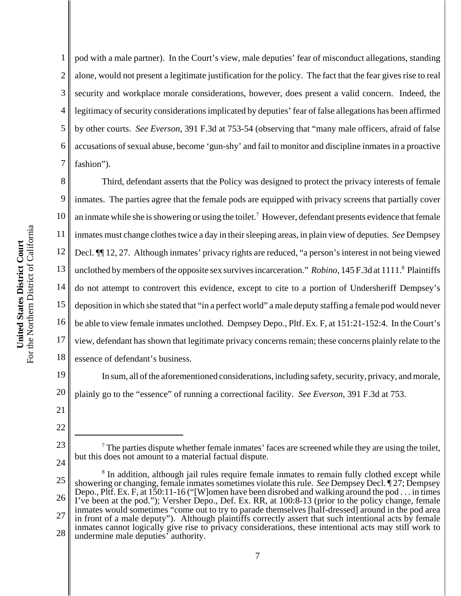1 2 3 4 5 6 7 pod with a male partner). In the Court's view, male deputies' fear of misconduct allegations, standing alone, would not present a legitimate justification for the policy. The fact that the fear gives rise to real security and workplace morale considerations, however, does present a valid concern. Indeed, the legitimacy of security considerations implicated by deputies' fear of false allegations has been affirmed by other courts. *See Everson*, 391 F.3d at 753-54 (observing that "many male officers, afraid of false accusations of sexual abuse, become 'gun-shy' and fail to monitor and discipline inmates in a proactive fashion").

8 9 10 11 12 13 14 15 16 17 18 Third, defendant asserts that the Policy was designed to protect the privacy interests of female inmates. The parties agree that the female pods are equipped with privacy screens that partially cover an inmate while she is showering or using the toilet.<sup>7</sup> However, defendant presents evidence that female inmates must change clothes twice a day in their sleeping areas, in plain view of deputies. *See* Dempsey Decl. ¶¶ 12, 27. Although inmates' privacy rights are reduced, "a person's interest in not being viewed unclothed by members of the opposite sex survives incarceration." *Robino*, 145 F.3d at 1111.<sup>8</sup> Plaintiffs do not attempt to controvert this evidence, except to cite to a portion of Undersheriff Dempsey's deposition in which she stated that "in a perfect world" a male deputy staffing a female pod would never be able to view female inmates unclothed. Dempsey Depo., Pltf. Ex. F, at 151:21-152:4. In the Court's view, defendant has shown that legitimate privacy concerns remain; these concerns plainly relate to the essence of defendant's business.

19 20 In sum, all of the aforementioned considerations, including safety, security, privacy, and morale, plainly go to the "essence" of running a correctional facility. *See Everson*, 391 F.3d at 753.

24

21

 $<sup>7</sup>$  The parties dispute whether female inmates' faces are screened while they are using the toilet,</sup> but this does not amount to a material factual dispute.

<sup>22</sup> 23

<sup>25</sup> 26 27 28 <sup>8</sup> In addition, although jail rules require female inmates to remain fully clothed except while showering or changing, female inmates sometimes violate this rule. *See* Dempsey Decl. ¶ 27; Dempsey Depo., Pltf. Ex. F, at 150:11-16 ("[W]omen have been disrobed and walking around the pod . . . in times I've been at the pod."); Versher Depo., Def. Ex. RR, at 100:8-13 (prior to the policy change, female inmates would sometimes "come out to try to parade themselves [half-dressed] around in the pod area in front of a male deputy"). Although plaintiffs correctly assert that such intentional acts by female inmates cannot logically give rise to privacy considerations, these intentional acts may still work to undermine male deputies' authority.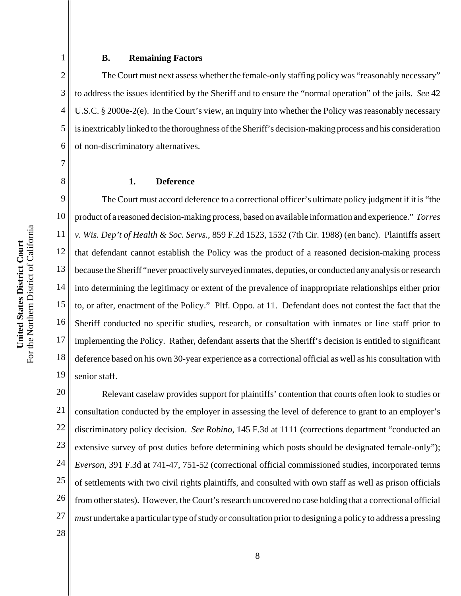#### **B. Remaining Factors**

2 3 4 5 6 The Court must next assess whether the female-only staffing policy was "reasonably necessary" to address the issues identified by the Sheriff and to ensure the "normal operation" of the jails. *See* 42 U.S.C. § 2000e-2(e). In the Court's view, an inquiry into whether the Policy was reasonably necessary is inextricably linked to the thoroughness of the Sheriff's decision-making process and his consideration of non-discriminatory alternatives.

### **1. Deference**

9 10 11 12 13 14 15 16 17 18 19 The Court must accord deference to a correctional officer's ultimate policy judgment if it is "the product of a reasoned decision-making process, based on available information and experience." *Torres v. Wis. Dep't of Health & Soc. Servs.*, 859 F.2d 1523, 1532 (7th Cir. 1988) (en banc). Plaintiffs assert that defendant cannot establish the Policy was the product of a reasoned decision-making process because the Sheriff "never proactively surveyed inmates, deputies, or conducted any analysis or research into determining the legitimacy or extent of the prevalence of inappropriate relationships either prior to, or after, enactment of the Policy." Pltf. Oppo. at 11. Defendant does not contest the fact that the Sheriff conducted no specific studies, research, or consultation with inmates or line staff prior to implementing the Policy. Rather, defendant asserts that the Sheriff's decision is entitled to significant deference based on his own 30-year experience as a correctional official as well as his consultation with senior staff.

20 21 22 23 24 25 26 27 Relevant caselaw provides support for plaintiffs' contention that courts often look to studies or consultation conducted by the employer in assessing the level of deference to grant to an employer's discriminatory policy decision. *See Robino*, 145 F.3d at 1111 (corrections department "conducted an extensive survey of post duties before determining which posts should be designated female-only"); *Everson*, 391 F.3d at 741-47, 751-52 (correctional official commissioned studies, incorporated terms of settlements with two civil rights plaintiffs, and consulted with own staff as well as prison officials from other states). However, the Court's research uncovered no case holding that a correctional official *must* undertake a particular type of study or consultation prior to designing a policy to address a pressing

1

7

8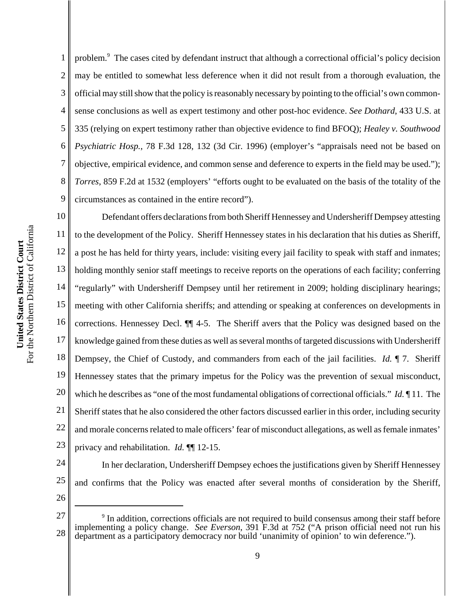3 4 5 6 7 8 9 10 11 12 13 official may still show that the policy is reasonably necessary by pointing to the official's own commonsense conclusions as well as expert testimony and other post-hoc evidence. *See Dothard*, 433 U.S. at 335 (relying on expert testimony rather than objective evidence to find BFOQ); *Healey v. Southwood Psychiatric Hosp.*, 78 F.3d 128, 132 (3d Cir. 1996) (employer's "appraisals need not be based on objective, empirical evidence, and common sense and deference to experts in the field may be used."); *Torres*, 859 F.2d at 1532 (employers' "efforts ought to be evaluated on the basis of the totality of the circumstances as contained in the entire record"). Defendant offers declarations from both Sheriff Hennessey and Undersheriff Dempsey attesting to the development of the Policy. Sheriff Hennessey states in his declaration that his duties as Sheriff,

14 15 16 17 18 19 20 21 22 23 a post he has held for thirty years, include: visiting every jail facility to speak with staff and inmates; holding monthly senior staff meetings to receive reports on the operations of each facility; conferring "regularly" with Undersheriff Dempsey until her retirement in 2009; holding disciplinary hearings; meeting with other California sheriffs; and attending or speaking at conferences on developments in corrections. Hennessey Decl. ¶¶ 4-5. The Sheriff avers that the Policy was designed based on the knowledge gained from these duties as well as several months of targeted discussions with Undersheriff Dempsey, the Chief of Custody, and commanders from each of the jail facilities. *Id.* ¶ 7. Sheriff Hennessey states that the primary impetus for the Policy was the prevention of sexual misconduct, which he describes as "one of the most fundamental obligations of correctional officials." *Id.* ¶ 11. The Sheriff states that he also considered the other factors discussed earlier in this order, including security and morale concerns related to male officers' fear of misconduct allegations, as well as female inmates' privacy and rehabilitation. *Id.* ¶¶ 12-15.

problem.<sup>9</sup> The cases cited by defendant instruct that although a correctional official's policy decision

may be entitled to somewhat less deference when it did not result from a thorough evaluation, the

24 25 In her declaration, Undersheriff Dempsey echoes the justifications given by Sheriff Hennessey and confirms that the Policy was enacted after several months of consideration by the Sheriff,

26

1

<sup>27</sup> 28 <sup>9</sup> In addition, corrections officials are not required to build consensus among their staff before implementing a policy change. *See Everson*, 391 F.3d at 752 ("A prison official need not run his department as a participatory democracy nor build 'unanimity of opinion' to win deference.").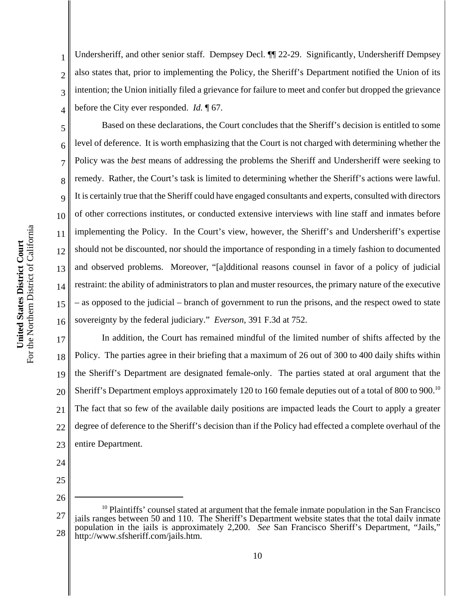2

3

4

5

6

Undersheriff, and other senior staff. Dempsey Decl. ¶¶ 22-29. Significantly, Undersheriff Dempsey also states that, prior to implementing the Policy, the Sheriff's Department notified the Union of its intention; the Union initially filed a grievance for failure to meet and confer but dropped the grievance before the City ever responded. *Id.* ¶ 67.

16 Based on these declarations, the Court concludes that the Sheriff's decision is entitled to some level of deference. It is worth emphasizing that the Court is not charged with determining whether the Policy was the *best* means of addressing the problems the Sheriff and Undersheriff were seeking to remedy. Rather, the Court's task is limited to determining whether the Sheriff's actions were lawful. It is certainly true that the Sheriff could have engaged consultants and experts, consulted with directors of other corrections institutes, or conducted extensive interviews with line staff and inmates before implementing the Policy. In the Court's view, however, the Sheriff's and Undersheriff's expertise should not be discounted, nor should the importance of responding in a timely fashion to documented and observed problems. Moreover, "[a]dditional reasons counsel in favor of a policy of judicial restraint: the ability of administrators to plan and muster resources, the primary nature of the executive – as opposed to the judicial – branch of government to run the prisons, and the respect owed to state sovereignty by the federal judiciary." *Everson*, 391 F.3d at 752.

17 18 19 20 21 22 23 In addition, the Court has remained mindful of the limited number of shifts affected by the Policy. The parties agree in their briefing that a maximum of 26 out of 300 to 400 daily shifts within the Sheriff's Department are designated female-only. The parties stated at oral argument that the Sheriff's Department employs approximately 120 to 160 female deputies out of a total of 800 to 900.<sup>10</sup> The fact that so few of the available daily positions are impacted leads the Court to apply a greater degree of deference to the Sheriff's decision than if the Policy had effected a complete overhaul of the entire Department.

- 24
- 25

<sup>27</sup> 28 <sup>10</sup> Plaintiffs' counsel stated at argument that the female inmate population in the San Francisco jails ranges between 50 and 110. The Sheriff's Department website states that the total daily inmate population in the jails is approximately 2,200. *See* San Francisco Sheriff's Department, "Jails," http://www.sfsheriff.com/jails.htm.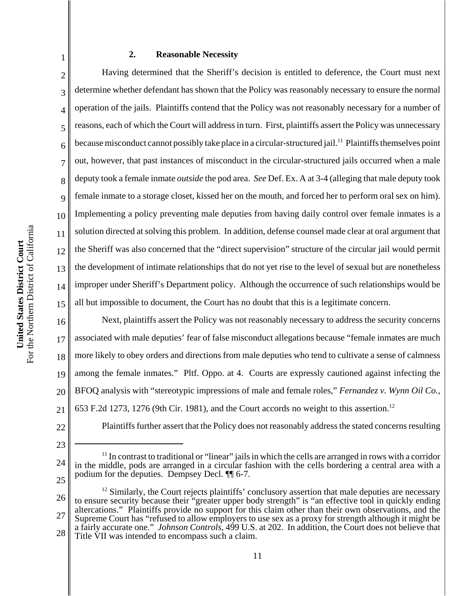# **2. Reasonable Necessity**

2 3 4 5 6 7 8 9 10 11 12 13 14 15 Having determined that the Sheriff's decision is entitled to deference, the Court must next determine whether defendant has shown that the Policy was reasonably necessary to ensure the normal operation of the jails. Plaintiffs contend that the Policy was not reasonably necessary for a number of reasons, each of which the Court will address in turn. First, plaintiffs assert the Policy was unnecessary because misconduct cannot possibly take place in a circular-structured jail.<sup>11</sup> Plaintiffs themselves point out, however, that past instances of misconduct in the circular-structured jails occurred when a male deputy took a female inmate *outside* the pod area. *See* Def. Ex. A at 3-4 (alleging that male deputy took female inmate to a storage closet, kissed her on the mouth, and forced her to perform oral sex on him). Implementing a policy preventing male deputies from having daily control over female inmates is a solution directed at solving this problem. In addition, defense counsel made clear at oral argument that the Sheriff was also concerned that the "direct supervision" structure of the circular jail would permit the development of intimate relationships that do not yet rise to the level of sexual but are nonetheless improper under Sheriff's Department policy. Although the occurrence of such relationships would be all but impossible to document, the Court has no doubt that this is a legitimate concern.

16 17 18 19 20 21 Next, plaintiffs assert the Policy was not reasonably necessary to address the security concerns associated with male deputies' fear of false misconduct allegations because "female inmates are much more likely to obey orders and directions from male deputies who tend to cultivate a sense of calmness among the female inmates." Pltf. Oppo. at 4. Courts are expressly cautioned against infecting the BFOQ analysis with "stereotypic impressions of male and female roles," *Fernandez v. Wynn Oil Co.*, 653 F.2d 1273, 1276 (9th Cir. 1981), and the Court accords no weight to this assertion.12

22

23

1

Plaintiffs further assert that the Policy does not reasonably address the stated concerns resulting

<sup>24</sup> 25 <sup>11</sup> In contrast to traditional or "linear" jails in which the cells are arranged in rows with a corridor in the middle, pods are arranged in a circular fashion with the cells bordering a central area with a podium for the deputies. Dempsey Decl. ¶¶ 6-7.

<sup>26</sup> 27 28  $12$  Similarly, the Court rejects plaintiffs' conclusory assertion that male deputies are necessary to ensure security because their "greater upper body strength" is "an effective tool in quickly ending altercations." Plaintiffs provide no support for this claim other than their own observations, and the Supreme Court has "refused to allow employers to use sex as a proxy for strength although it might be a fairly accurate one." *Johnson Controls*, 499 U.S. at 202. In addition, the Court does not believe that Title VII was intended to encompass such a claim.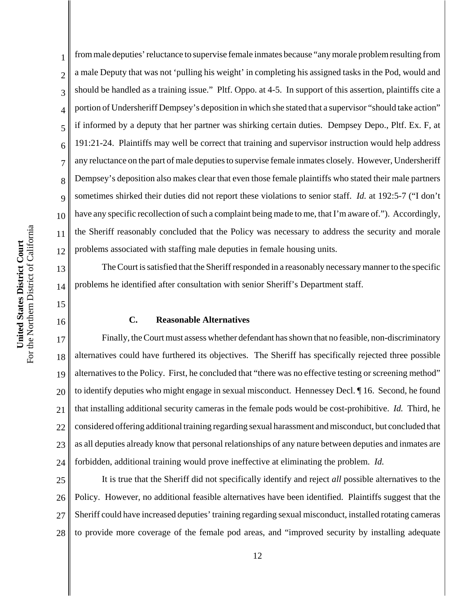13

14

15

16

1 2 3 4 5 6 7 8 9 10 12 from male deputies' reluctance to supervise female inmates because "any morale problem resulting from a male Deputy that was not 'pulling his weight' in completing his assigned tasks in the Pod, would and should be handled as a training issue." Pltf. Oppo. at 4-5. In support of this assertion, plaintiffs cite a portion of Undersheriff Dempsey's deposition in which she stated that a supervisor "should take action" if informed by a deputy that her partner was shirking certain duties. Dempsey Depo., Pltf. Ex. F, at 191:21-24. Plaintiffs may well be correct that training and supervisor instruction would help address any reluctance on the part of male deputies to supervise female inmates closely. However, Undersheriff Dempsey's deposition also makes clear that even those female plaintiffs who stated their male partners sometimes shirked their duties did not report these violations to senior staff. *Id.* at 192:5-7 ("I don't have any specific recollection of such a complaint being made to me, that I'm aware of."). Accordingly, the Sheriff reasonably concluded that the Policy was necessary to address the security and morale problems associated with staffing male deputies in female housing units.

The Court is satisfied that the Sheriff responded in a reasonably necessary manner to the specific problems he identified after consultation with senior Sheriff's Department staff.

# **C. Reasonable Alternatives**

17 18 19 20 21 22 23 24 Finally, the Court must assess whether defendant has shown that no feasible, non-discriminatory alternatives could have furthered its objectives. The Sheriff has specifically rejected three possible alternatives to the Policy. First, he concluded that "there was no effective testing or screening method" to identify deputies who might engage in sexual misconduct. Hennessey Decl. ¶ 16. Second, he found that installing additional security cameras in the female pods would be cost-prohibitive. *Id.* Third, he considered offering additional training regarding sexual harassment and misconduct, but concluded that as all deputies already know that personal relationships of any nature between deputies and inmates are forbidden, additional training would prove ineffective at eliminating the problem. *Id.*

25 26 27 28 It is true that the Sheriff did not specifically identify and reject *all* possible alternatives to the Policy. However, no additional feasible alternatives have been identified. Plaintiffs suggest that the Sheriff could have increased deputies' training regarding sexual misconduct, installed rotating cameras to provide more coverage of the female pod areas, and "improved security by installing adequate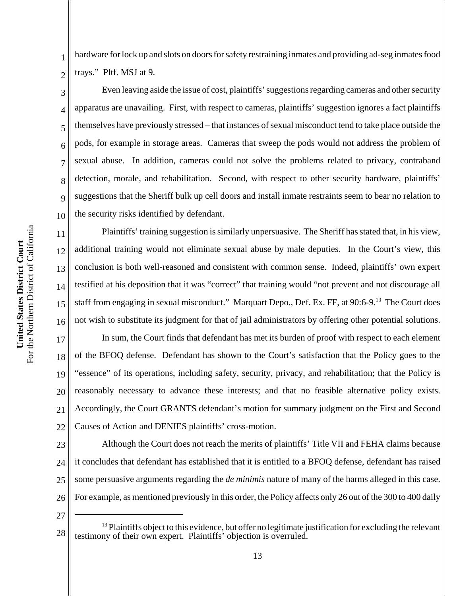For the Northern District of California For the Northern District of California United States District Court **United States District Court**

3

4

5

6

7

8

9

10

11

12

13

14

15

1 2 hardware for lock up and slots on doors for safety restraining inmates and providing ad-seg inmates food trays." Pltf. MSJ at 9.

Even leaving aside the issue of cost, plaintiffs' suggestions regarding cameras and other security apparatus are unavailing. First, with respect to cameras, plaintiffs' suggestion ignores a fact plaintiffs themselves have previously stressed – that instances of sexual misconduct tend to take place outside the pods, for example in storage areas. Cameras that sweep the pods would not address the problem of sexual abuse. In addition, cameras could not solve the problems related to privacy, contraband detection, morale, and rehabilitation. Second, with respect to other security hardware, plaintiffs' suggestions that the Sheriff bulk up cell doors and install inmate restraints seem to bear no relation to the security risks identified by defendant.

16 Plaintiffs' training suggestion is similarly unpersuasive. The Sheriff has stated that, in his view, additional training would not eliminate sexual abuse by male deputies. In the Court's view, this conclusion is both well-reasoned and consistent with common sense. Indeed, plaintiffs' own expert testified at his deposition that it was "correct" that training would "not prevent and not discourage all staff from engaging in sexual misconduct." Marquart Depo., Def. Ex. FF, at 90:6-9.<sup>13</sup> The Court does not wish to substitute its judgment for that of jail administrators by offering other potential solutions.

17 18 19 20 21 22 In sum, the Court finds that defendant has met its burden of proof with respect to each element of the BFOQ defense. Defendant has shown to the Court's satisfaction that the Policy goes to the "essence" of its operations, including safety, security, privacy, and rehabilitation; that the Policy is reasonably necessary to advance these interests; and that no feasible alternative policy exists. Accordingly, the Court GRANTS defendant's motion for summary judgment on the First and Second Causes of Action and DENIES plaintiffs' cross-motion.

23 24 25 26 Although the Court does not reach the merits of plaintiffs' Title VII and FEHA claims because it concludes that defendant has established that it is entitled to a BFOQ defense, defendant has raised some persuasive arguments regarding the *de minimis* nature of many of the harms alleged in this case. For example, as mentioned previously in this order, the Policy affects only 26 out of the 300 to 400 daily

<sup>28</sup>  $<sup>13</sup>$  Plaintiffs object to this evidence, but offer no legitimate justification for excluding the relevant</sup> testimony of their own expert. Plaintiffs' objection is overruled.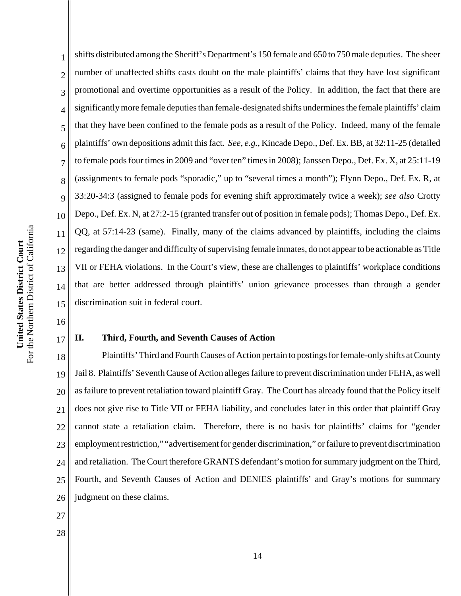1 2 3 4 5 6 7 8 9 10 11 12 13 14 15 shifts distributed among the Sheriff's Department's 150 female and 650 to 750 male deputies. The sheer number of unaffected shifts casts doubt on the male plaintiffs' claims that they have lost significant promotional and overtime opportunities as a result of the Policy. In addition, the fact that there are significantly more female deputies than female-designated shifts undermines the female plaintiffs' claim that they have been confined to the female pods as a result of the Policy. Indeed, many of the female plaintiffs' own depositions admit this fact. *See, e.g.*, Kincade Depo., Def. Ex. BB, at 32:11-25 (detailed to female pods four times in 2009 and "over ten" times in 2008); Janssen Depo., Def. Ex. X, at 25:11-19 (assignments to female pods "sporadic," up to "several times a month"); Flynn Depo., Def. Ex. R, at 33:20-34:3 (assigned to female pods for evening shift approximately twice a week); *see also* Crotty Depo., Def. Ex. N, at 27:2-15 (granted transfer out of position in female pods); Thomas Depo., Def. Ex. QQ, at 57:14-23 (same). Finally, many of the claims advanced by plaintiffs, including the claims regarding the danger and difficulty of supervising female inmates, do not appear to be actionable as Title VII or FEHA violations. In the Court's view, these are challenges to plaintiffs' workplace conditions that are better addressed through plaintiffs' union grievance processes than through a gender discrimination suit in federal court.

16

17

# **II. Third, Fourth, and Seventh Causes of Action**

18 19 20 21 22 23 24 25 26 Plaintiffs' Third and Fourth Causes of Action pertain to postings for female-only shifts at County Jail 8. Plaintiffs' Seventh Cause of Action alleges failure to prevent discrimination under FEHA, as well as failure to prevent retaliation toward plaintiff Gray. The Court has already found that the Policy itself does not give rise to Title VII or FEHA liability, and concludes later in this order that plaintiff Gray cannot state a retaliation claim. Therefore, there is no basis for plaintiffs' claims for "gender employment restriction," "advertisement for gender discrimination," or failure to prevent discrimination and retaliation. The Court therefore GRANTS defendant's motion for summary judgment on the Third, Fourth, and Seventh Causes of Action and DENIES plaintiffs' and Gray's motions for summary judgment on these claims.

- 27
- 28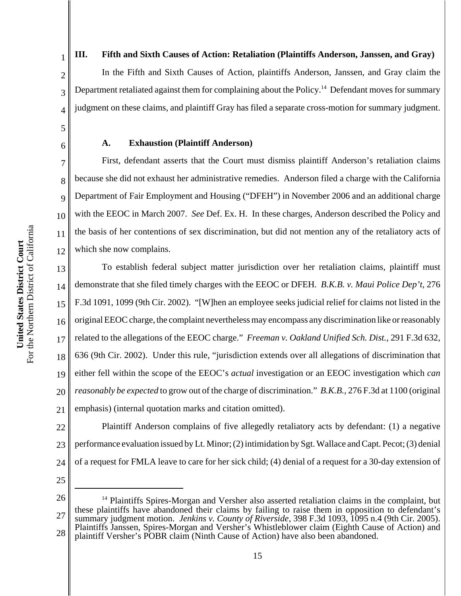**III. Fifth and Sixth Causes of Action: Retaliation (Plaintiffs Anderson, Janssen, and Gray)** In the Fifth and Sixth Causes of Action, plaintiffs Anderson, Janssen, and Gray claim the Department retaliated against them for complaining about the Policy.<sup>14</sup> Defendant moves for summary judgment on these claims, and plaintiff Gray has filed a separate cross-motion for summary judgment.

# **A. Exhaustion (Plaintiff Anderson)**

First, defendant asserts that the Court must dismiss plaintiff Anderson's retaliation claims because she did not exhaust her administrative remedies. Anderson filed a charge with the California Department of Fair Employment and Housing ("DFEH") in November 2006 and an additional charge with the EEOC in March 2007. *See* Def. Ex. H. In these charges, Anderson described the Policy and the basis of her contentions of sex discrimination, but did not mention any of the retaliatory acts of which she now complains.

13 14 15 16 17 18 19 20 21 To establish federal subject matter jurisdiction over her retaliation claims, plaintiff must demonstrate that she filed timely charges with the EEOC or DFEH. *B.K.B. v. Maui Police Dep't*, 276 F.3d 1091, 1099 (9th Cir. 2002). "[W]hen an employee seeks judicial relief for claims not listed in the original EEOC charge, the complaint nevertheless may encompass any discrimination like or reasonably related to the allegations of the EEOC charge."*Freeman v. Oakland Unified Sch. Dist.*, 291 F.3d 632, 636 (9th Cir. 2002). Under this rule, "jurisdiction extends over all allegations of discrimination that either fell within the scope of the EEOC's *actual* investigation or an EEOC investigation which *can reasonably be expected* to grow out of the charge of discrimination." *B.K.B.*, 276 F.3d at 1100 (original emphasis) (internal quotation marks and citation omitted).

Plaintiff Anderson complains of five allegedly retaliatory acts by defendant: (1) a negative

performance evaluation issued by Lt. Minor; (2) intimidation by Sgt. Wallace and Capt. Pecot; (3) denial

of a request for FMLA leave to care for her sick child; (4) denial of a request for a 30-day extension of

1

2

3

4

5

6

7

8

9

10

11

<sup>26</sup> 27 28 <sup>14</sup> Plaintiffs Spires-Morgan and Versher also asserted retaliation claims in the complaint, but these plaintiffs have abandoned their claims by failing to raise them in opposition to defendant's summary judgment motion. *Jenkins v. County of Riverside*, 398 F.3d 1093, 1095 n.4 (9th Cir. 2005). Plaintiffs Janssen, Spires-Morgan and Versher's Whistleblower claim (Eighth Cause of Action) and plaintiff Versher's POBR claim (Ninth Cause of Action) have also been abandoned.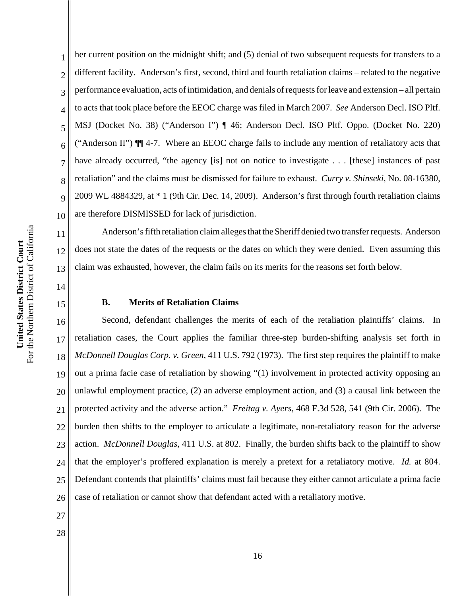2 3 4 her current position on the midnight shift; and (5) denial of two subsequent requests for transfers to a different facility. Anderson's first, second, third and fourth retaliation claims – related to the negative performance evaluation, acts of intimidation, and denials of requests for leave and extension – all pertain to acts that took place before the EEOC charge was filed in March 2007. *See* Anderson Decl. ISO Pltf. MSJ (Docket No. 38) ("Anderson I") ¶ 46; Anderson Decl. ISO Pltf. Oppo. (Docket No. 220) ("Anderson II") ¶¶ 4-7. Where an EEOC charge fails to include any mention of retaliatory acts that have already occurred, "the agency [is] not on notice to investigate . . . [these] instances of past retaliation" and the claims must be dismissed for failure to exhaust. *Curry v. Shinseki*, No. 08-16380, 2009 WL 4884329, at \* 1 (9th Cir. Dec. 14, 2009). Anderson's first through fourth retaliation claims are therefore DISMISSED for lack of jurisdiction.

Anderson's fifth retaliation claim alleges that the Sheriff denied two transfer requests. Anderson does not state the dates of the requests or the dates on which they were denied. Even assuming this claim was exhausted, however, the claim fails on its merits for the reasons set forth below.

# **B. Merits of Retaliation Claims**

17 18 19 20 21 22 23 24 25 26 Second, defendant challenges the merits of each of the retaliation plaintiffs' claims. In retaliation cases, the Court applies the familiar three-step burden-shifting analysis set forth in *McDonnell Douglas Corp. v. Green*, 411 U.S. 792 (1973). The first step requires the plaintiff to make out a prima facie case of retaliation by showing "(1) involvement in protected activity opposing an unlawful employment practice, (2) an adverse employment action, and (3) a causal link between the protected activity and the adverse action." *Freitag v. Ayers*, 468 F.3d 528, 541 (9th Cir. 2006). The burden then shifts to the employer to articulate a legitimate, non-retaliatory reason for the adverse action. *McDonnell Douglas*, 411 U.S. at 802. Finally, the burden shifts back to the plaintiff to show that the employer's proffered explanation is merely a pretext for a retaliatory motive. *Id.* at 804. Defendant contends that plaintiffs' claims must fail because they either cannot articulate a prima facie case of retaliation or cannot show that defendant acted with a retaliatory motive.

- 27
- 28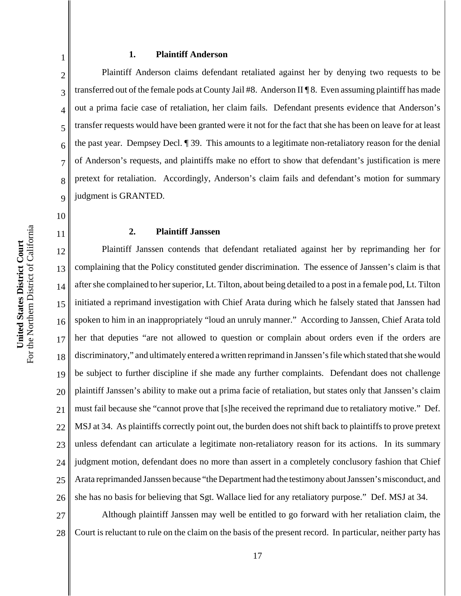# **1. Plaintiff Anderson**

Plaintiff Anderson claims defendant retaliated against her by denying two requests to be transferred out of the female pods at County Jail #8. Anderson II ¶ 8. Even assuming plaintiff has made out a prima facie case of retaliation, her claim fails. Defendant presents evidence that Anderson's transfer requests would have been granted were it not for the fact that she has been on leave for at least the past year. Dempsey Decl. ¶ 39. This amounts to a legitimate non-retaliatory reason for the denial of Anderson's requests, and plaintiffs make no effort to show that defendant's justification is mere pretext for retaliation. Accordingly, Anderson's claim fails and defendant's motion for summary judgment is GRANTED.

**2. Plaintiff Janssen**

12 13 14 15 16 17 18 19 20 21 22 23 24 25 26 Plaintiff Janssen contends that defendant retaliated against her by reprimanding her for complaining that the Policy constituted gender discrimination. The essence of Janssen's claim is that after she complained to her superior, Lt. Tilton, about being detailed to a post in a female pod, Lt. Tilton initiated a reprimand investigation with Chief Arata during which he falsely stated that Janssen had spoken to him in an inappropriately "loud an unruly manner." According to Janssen, Chief Arata told her that deputies "are not allowed to question or complain about orders even if the orders are discriminatory," and ultimately entered a written reprimand in Janssen's file which stated that she would be subject to further discipline if she made any further complaints. Defendant does not challenge plaintiff Janssen's ability to make out a prima facie of retaliation, but states only that Janssen's claim must fail because she "cannot prove that [s]he received the reprimand due to retaliatory motive." Def. MSJ at 34. As plaintiffs correctly point out, the burden does not shift back to plaintiffs to prove pretext unless defendant can articulate a legitimate non-retaliatory reason for its actions. In its summary judgment motion, defendant does no more than assert in a completely conclusory fashion that Chief Arata reprimanded Janssen because "the Department had the testimony about Janssen's misconduct, and she has no basis for believing that Sgt. Wallace lied for any retaliatory purpose." Def. MSJ at 34.

27 28 Although plaintiff Janssen may well be entitled to go forward with her retaliation claim, the Court is reluctant to rule on the claim on the basis of the present record. In particular, neither party has

1

2

3

4

5

6

7

8

9

10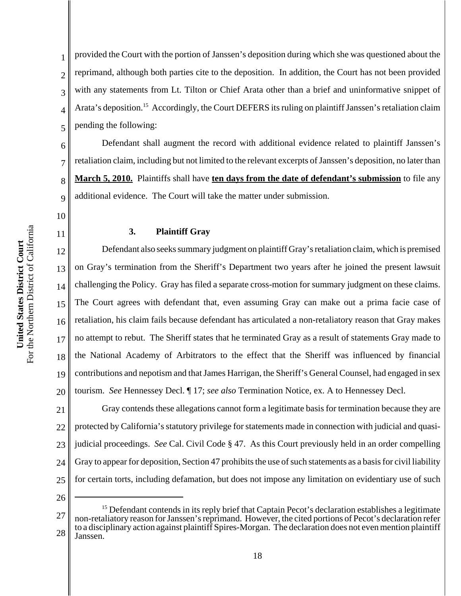11

1 2 3 4 5 provided the Court with the portion of Janssen's deposition during which she was questioned about the reprimand, although both parties cite to the deposition. In addition, the Court has not been provided with any statements from Lt. Tilton or Chief Arata other than a brief and uninformative snippet of Arata's deposition.<sup>15</sup> Accordingly, the Court DEFERS its ruling on plaintiff Janssen's retaliation claim pending the following:

6 7 8 9 Defendant shall augment the record with additional evidence related to plaintiff Janssen's retaliation claim, including but not limited to the relevant excerpts of Janssen's deposition, no later than **March 5, 2010.** Plaintiffs shall have **ten days from the date of defendant's submission** to file any additional evidence. The Court will take the matter under submission.

### **3. Plaintiff Gray**

12 13 14 15 16 17 18 19 20 Defendant also seeks summary judgment on plaintiff Gray's retaliation claim, which is premised on Gray's termination from the Sheriff's Department two years after he joined the present lawsuit challenging the Policy. Gray has filed a separate cross-motion for summary judgment on these claims. The Court agrees with defendant that, even assuming Gray can make out a prima facie case of retaliation, his claim fails because defendant has articulated a non-retaliatory reason that Gray makes no attempt to rebut. The Sheriff states that he terminated Gray as a result of statements Gray made to the National Academy of Arbitrators to the effect that the Sheriff was influenced by financial contributions and nepotism and that James Harrigan, the Sheriff's General Counsel, had engaged in sex tourism. *See* Hennessey Decl. ¶ 17; *see also* Termination Notice, ex. A to Hennessey Decl.

21 22 23 24 25 Gray contends these allegations cannot form a legitimate basis for termination because they are protected by California's statutory privilege for statements made in connection with judicial and quasijudicial proceedings. *See* Cal. Civil Code § 47. As this Court previously held in an order compelling Gray to appear for deposition, Section 47 prohibits the use of such statements as a basis for civil liability for certain torts, including defamation, but does not impose any limitation on evidentiary use of such

<sup>27</sup> 28 <sup>15</sup> Defendant contends in its reply brief that Captain Pecot's declaration establishes a legitimate non-retaliatory reason for Janssen's reprimand. However, the cited portions of Pecot's declaration refer to a disciplinary action against plaintiff Spires-Morgan. The declaration does not even mention plaintiff Janssen.